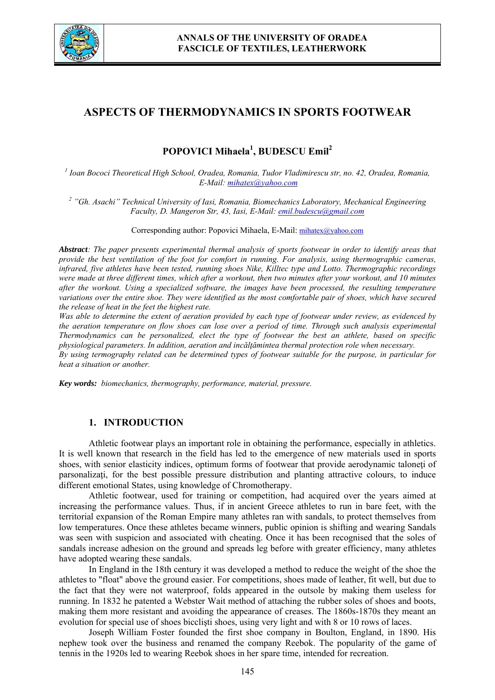

# **ASPECTS OF THERMODYNAMICS IN SPORTS FOOTWEAR**

## **POPOVICI Mihaela1 , BUDESCU Emil<sup>2</sup>**

*1 Ioan Bococi Theoretical High School, Oradea, Romania, Tudor Vladimirescu str, no. 42, Oradea, Romania, E-Mail: mihatex@yahoo.com*

<sup>2</sup> "Gh. Asachi" Technical University of Iasi, Romania, Biomechanics Laboratory, Mechanical Engineering *Faculty, D. Mangeron Str, 43, Iasi, E-Mail: emil.budescu@gmail.com*

Corresponding author: Popovici Mihaela, E-Mail: mihatex@yahoo.com

*Abstract: The paper presents experimental thermal analysis of sports footwear in order to identify areas that provide the best ventilation of the foot for comfort in running. For analysis, using thermographic cameras, infrared, five athletes have been tested, running shoes Nike, Killtec type and Lotto. Thermographic recordings were made at three different times, which after a workout, then two minutes after your workout, and 10 minutes after the workout. Using a specialized software, the images have been processed, the resulting temperature variations over the entire shoe. They were identified as the most comfortable pair of shoes, which have secured the release of heat in the feet the highest rate.*

*Was able to determine the extent of aeration provided by each type of footwear under review, as evidenced by the aeration temperature on flow shoes can lose over a period of time. Through such analysis experimental Thermodynamics can be personalized, elect the type of footwear the best an athlete, based on specific physiological parameters. In addition, aeration and incălţămintea thermal protection role when necessary. By using termography related can be determined types of footwear suitable for the purpose, in particular for heat a situation or another.* 

*Key words: biomechanics, thermography, performance, material, pressure.*

#### **1. INTRODUCTION**

Athletic footwear plays an important role in obtaining the performance, especially in athletics. It is well known that research in the field has led to the emergence of new materials used in sports shoes, with senior elasticity indices, optimum forms of footwear that provide aerodynamic taloneti of parsonalizati, for the best possible pressure distribution and planting attractive colours, to induce different emotional States, using knowledge of Chromotherapy.

Athletic footwear, used for training or competition, had acquired over the years aimed at increasing the performance values. Thus, if in ancient Greece athletes to run in bare feet, with the territorial expansion of the Roman Empire many athletes ran with sandals, to protect themselves from low temperatures. Once these athletes became winners, public opinion is shifting and wearing Sandals was seen with suspicion and associated with cheating. Once it has been recognised that the soles of sandals increase adhesion on the ground and spreads leg before with greater efficiency, many athletes have adopted wearing these sandals.

In England in the 18th century it was developed a method to reduce the weight of the shoe the athletes to "float" above the ground easier. For competitions, shoes made of leather, fit well, but due to the fact that they were not waterproof, folds appeared in the outsole by making them useless for running. In 1832 he patented a Webster Wait method of attaching the rubber soles of shoes and boots, making them more resistant and avoiding the appearance of creases. The 1860s-1870s they meant an evolution for special use of shoes bicclişti shoes, using very light and with 8 or 10 rows of laces.

Joseph William Foster founded the first shoe company in Boulton, England, in 1890. His nephew took over the business and renamed the company Reebok. The popularity of the game of tennis in the 1920s led to wearing Reebok shoes in her spare time, intended for recreation.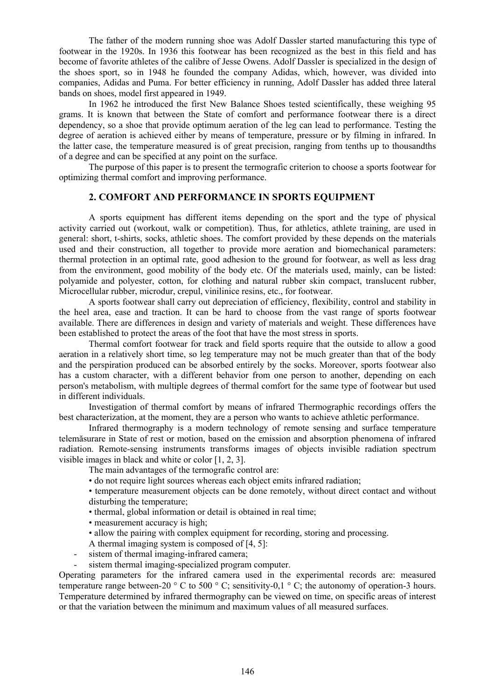The father of the modern running shoe was Adolf Dassler started manufacturing this type of footwear in the 1920s. In 1936 this footwear has been recognized as the best in this field and has become of favorite athletes of the calibre of Jesse Owens. Adolf Dassler is specialized in the design of the shoes sport, so in 1948 he founded the company Adidas, which, however, was divided into companies, Adidas and Puma. For better efficiency in running, Adolf Dassler has added three lateral bands on shoes, model first appeared in 1949.

In 1962 he introduced the first New Balance Shoes tested scientifically, these weighing 95 grams. It is known that between the State of comfort and performance footwear there is a direct dependency, so a shoe that provide optimum aeration of the leg can lead to performance. Testing the degree of aeration is achieved either by means of temperature, pressure or by filming in infrared. In the latter case, the temperature measured is of great precision, ranging from tenths up to thousandths of a degree and can be specified at any point on the surface.

The purpose of this paper is to present the termografic criterion to choose a sports footwear for optimizing thermal comfort and improving performance.

### **2. COMFORT AND PERFORMANCE IN SPORTS EQUIPMENT**

A sports equipment has different items depending on the sport and the type of physical activity carried out (workout, walk or competition). Thus, for athletics, athlete training, are used in general: short, t-shirts, socks, athletic shoes. The comfort provided by these depends on the materials used and their construction, all together to provide more aeration and biomechanical parameters: thermal protection in an optimal rate, good adhesion to the ground for footwear, as well as less drag from the environment, good mobility of the body etc. Of the materials used, mainly, can be listed: polyamide and polyester, cotton, for clothing and natural rubber skin compact, translucent rubber, Microcellular rubber, microdur, crepul, vinilinice resins, etc., for footwear.

A sports footwear shall carry out depreciation of efficiency, flexibility, control and stability in the heel area, ease and traction. It can be hard to choose from the vast range of sports footwear available. There are differences in design and variety of materials and weight. These differences have been established to protect the areas of the foot that have the most stress in sports.

Thermal comfort footwear for track and field sports require that the outside to allow a good aeration in a relatively short time, so leg temperature may not be much greater than that of the body and the perspiration produced can be absorbed entirely by the socks. Moreover, sports footwear also has a custom character, with a different behavior from one person to another, depending on each person's metabolism, with multiple degrees of thermal comfort for the same type of footwear but used in different individuals.

Investigation of thermal comfort by means of infrared Thermographic recordings offers the best characterization, at the moment, they are a person who wants to achieve athletic performance.

Infrared thermography is a modern technology of remote sensing and surface temperature telemăsurare in State of rest or motion, based on the emission and absorption phenomena of infrared radiation. Remote-sensing instruments transforms images of objects invisible radiation spectrum visible images in black and white or color [1, 2, 3].

The main advantages of the termografic control are:

• do not require light sources whereas each object emits infrared radiation;

• temperature measurement objects can be done remotely, without direct contact and without disturbing the temperature;

- thermal, global information or detail is obtained in real time;
- measurement accuracy is high;
- allow the pairing with complex equipment for recording, storing and processing.

A thermal imaging system is composed of [4, 5]:

- sistem of thermal imaging-infrared camera;
- sistem thermal imaging-specialized program computer.

Operating parameters for the infrared camera used in the experimental records are: measured temperature range between-20  $\degree$  C to 500  $\degree$  C; sensitivity-0,1  $\degree$  C; the autonomy of operation-3 hours. Temperature determined by infrared thermography can be viewed on time, on specific areas of interest or that the variation between the minimum and maximum values of all measured surfaces.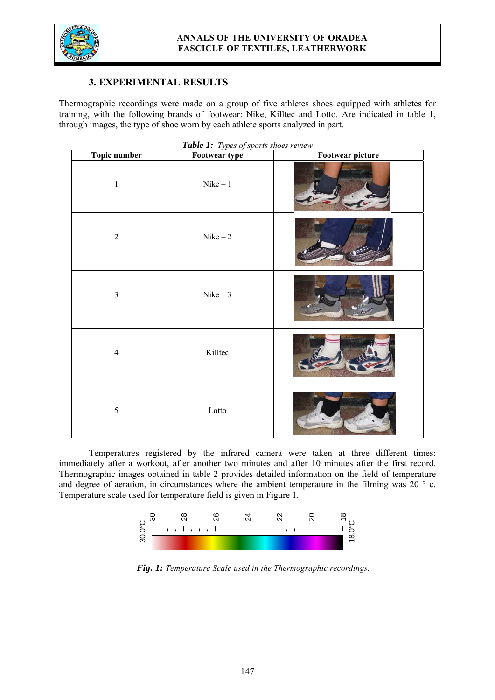

## **3. EXPERIMENTAL RESULTS**

Thermographic recordings were made on a group of five athletes shoes equipped with athletes for training, with the following brands of footwear: Nike, Killtec and Lotto. Are indicated in table 1, through images, the type of shoe worn by each athlete sports analyzed in part.

| Topic number   | <b>There 1.</b> Types of sports shoes review<br>Footwear type | <b>Footwear picture</b> |
|----------------|---------------------------------------------------------------|-------------------------|
| $\mathbf 1$    | $Nike-1$                                                      |                         |
| $\sqrt{2}$     | $Nike-2$                                                      |                         |
| $\mathfrak{Z}$ | $Nike-3$                                                      |                         |
| $\overline{4}$ | Killtec                                                       |                         |
| 5              | $\rm Lotto$                                                   |                         |

*Table 1: Types of sports shoes review*

Temperatures registered by the infrared camera were taken at three different times: immediately after a workout, after another two minutes and after 10 minutes after the first record. Thermographic images obtained in table 2 provides detailed information on the field of temperature and degree of aeration, in circumstances where the ambient temperature in the filming was 20 ° c. Temperature scale used for temperature field is given in Figure 1.



*Fig. 1: Temperature Scale used in the Thermographic recordings.*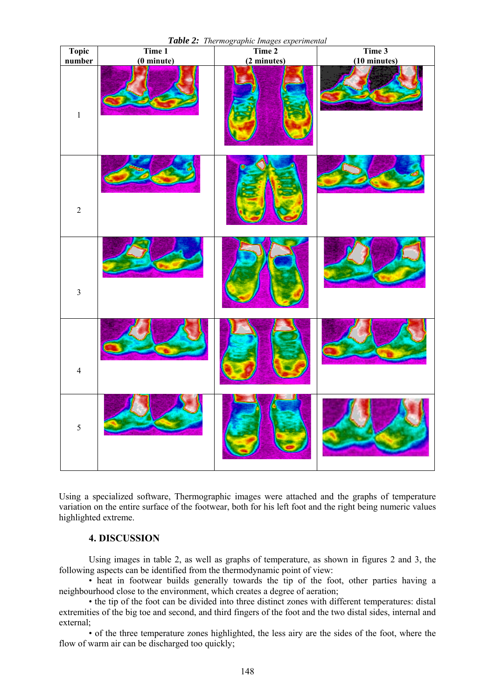



Using a specialized software, Thermographic images were attached and the graphs of temperature variation on the entire surface of the footwear, both for his left foot and the right being numeric values highlighted extreme.

### **4. DISCUSSION**

Using images in table 2, as well as graphs of temperature, as shown in figures 2 and 3, the following aspects can be identified from the thermodynamic point of view:

• heat in footwear builds generally towards the tip of the foot, other parties having a neighbourhood close to the environment, which creates a degree of aeration;

• the tip of the foot can be divided into three distinct zones with different temperatures: distal extremities of the big toe and second, and third fingers of the foot and the two distal sides, internal and external;

• of the three temperature zones highlighted, the less airy are the sides of the foot, where the flow of warm air can be discharged too quickly;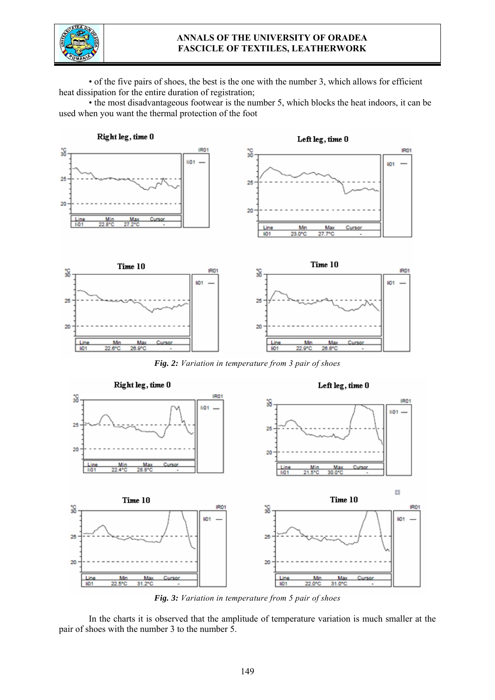

### **ANNALS OF THE UNIVERSITY OF ORADEA FASCICLE OF TEXTILES, LEATHERWORK**

• of the five pairs of shoes, the best is the one with the number 3, which allows for efficient heat dissipation for the entire duration of registration;

• the most disadvantageous footwear is the number 5, which blocks the heat indoors, it can be used when you want the thermal protection of the foot



*Fig. 3: Variation in temperature from 5 pair of shoes*

 In the charts it is observed that the amplitude of temperature variation is much smaller at the pair of shoes with the number 3 to the number 5.